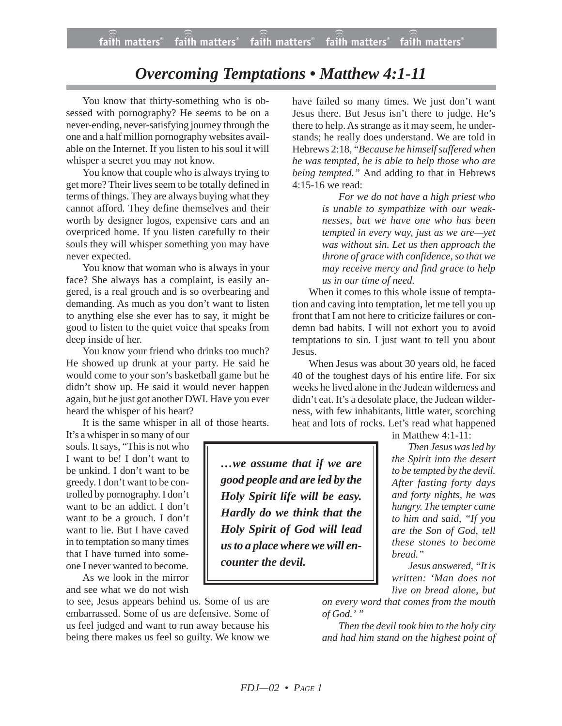## *Overcoming Temptations • Matthew 4:1-11*

You know that thirty-something who is obsessed with pornography? He seems to be on a never-ending, never-satisfying journey through the one and a half million pornography websites available on the Internet. If you listen to his soul it will whisper a secret you may not know.

You know that couple who is always trying to get more? Their lives seem to be totally defined in terms of things. They are always buying what they cannot afford. They define themselves and their worth by designer logos, expensive cars and an overpriced home. If you listen carefully to their souls they will whisper something you may have never expected.

You know that woman who is always in your face? She always has a complaint, is easily angered, is a real grouch and is so overbearing and demanding. As much as you don't want to listen to anything else she ever has to say, it might be good to listen to the quiet voice that speaks from deep inside of her.

You know your friend who drinks too much? He showed up drunk at your party. He said he would come to your son's basketball game but he didn't show up. He said it would never happen again, but he just got another DWI. Have you ever heard the whisper of his heart?

It is the same whisper in all of those hearts.

It's a whisper in so many of our souls. It says, "This is not who I want to be! I don't want to be unkind. I don't want to be greedy. I don't want to be controlled by pornography. I don't want to be an addict. I don't want to be a grouch. I don't want to lie. But I have caved in to temptation so many times that I have turned into someone I never wanted to become.

As we look in the mirror and see what we do not wish

to see, Jesus appears behind us. Some of us are embarrassed. Some of us are defensive. Some of us feel judged and want to run away because his being there makes us feel so guilty. We know we

have failed so many times. We just don't want Jesus there. But Jesus isn't there to judge. He's there to help. As strange as it may seem, he understands; he really does understand. We are told in Hebrews 2:18, "*Because he himself suffered when he was tempted, he is able to help those who are being tempted."* And adding to that in Hebrews 4:15-16 we read:

> *For we do not have a high priest who is unable to sympathize with our weaknesses, but we have one who has been tempted in every way, just as we are—yet was without sin. Let us then approach the throne of grace with confidence, so that we may receive mercy and find grace to help us in our time of need.*

When it comes to this whole issue of temptation and caving into temptation, let me tell you up front that I am not here to criticize failures or condemn bad habits. I will not exhort you to avoid temptations to sin. I just want to tell you about Jesus.

When Jesus was about 30 years old, he faced 40 of the toughest days of his entire life. For six weeks he lived alone in the Judean wilderness and didn't eat. It's a desolate place, the Judean wilderness, with few inhabitants, little water, scorching heat and lots of rocks. Let's read what happened

in Matthew 4:1-11:

*Then Jesus was led by the Spirit into the desert to be tempted by the devil. After fasting forty days and forty nights, he was hungry. The tempter came to him and said, "If you are the Son of God, tell these stones to become bread."*

*Jesus answered, "It is written: 'Man does not live on bread alone, but*

*on every word that comes from the mouth of God.' "*

*Then the devil took him to the holy city and had him stand on the highest point of*

*…we assume that if we are good people and are led by the Holy Spirit life will be easy. Hardly do we think that the Holy Spirit of God will lead us to a place where we will encounter the devil.*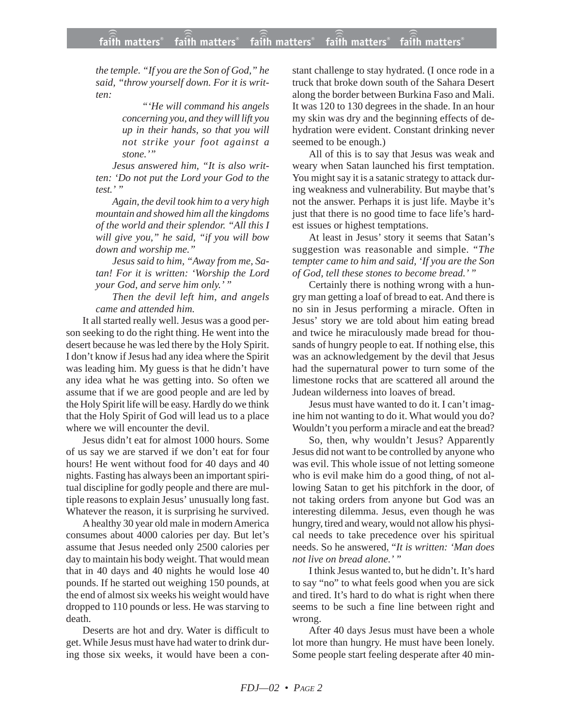*the temple. "If you are the Son of God," he said, "throw yourself down. For it is written:*

> *"'He will command his angels concerning you, and they will lift you up in their hands, so that you will not strike your foot against a stone.'"*

*Jesus answered him, "It is also written: 'Do not put the Lord your God to the test.' "*

*Again, the devil took him to a very high mountain and showed him all the kingdoms of the world and their splendor. "All this I will give you," he said, "if you will bow down and worship me."*

*Jesus said to him, "Away from me, Satan! For it is written: 'Worship the Lord your God, and serve him only.' "*

*Then the devil left him, and angels came and attended him.*

It all started really well. Jesus was a good person seeking to do the right thing. He went into the desert because he was led there by the Holy Spirit. I don't know if Jesus had any idea where the Spirit was leading him. My guess is that he didn't have any idea what he was getting into. So often we assume that if we are good people and are led by the Holy Spirit life will be easy. Hardly do we think that the Holy Spirit of God will lead us to a place where we will encounter the devil.

Jesus didn't eat for almost 1000 hours. Some of us say we are starved if we don't eat for four hours! He went without food for 40 days and 40 nights. Fasting has always been an important spiritual discipline for godly people and there are multiple reasons to explain Jesus' unusually long fast. Whatever the reason, it is surprising he survived.

A healthy 30 year old male in modern America consumes about 4000 calories per day. But let's assume that Jesus needed only 2500 calories per day to maintain his body weight. That would mean that in 40 days and 40 nights he would lose 40 pounds. If he started out weighing 150 pounds, at the end of almost six weeks his weight would have dropped to 110 pounds or less. He was starving to death.

Deserts are hot and dry. Water is difficult to get. While Jesus must have had water to drink during those six weeks, it would have been a constant challenge to stay hydrated. (I once rode in a truck that broke down south of the Sahara Desert along the border between Burkina Faso and Mali. It was 120 to 130 degrees in the shade. In an hour my skin was dry and the beginning effects of dehydration were evident. Constant drinking never seemed to be enough.)

All of this is to say that Jesus was weak and weary when Satan launched his first temptation. You might say it is a satanic strategy to attack during weakness and vulnerability. But maybe that's not the answer. Perhaps it is just life. Maybe it's just that there is no good time to face life's hardest issues or highest temptations.

At least in Jesus' story it seems that Satan's suggestion was reasonable and simple. "*The tempter came to him and said, 'If you are the Son of God, tell these stones to become bread.' "*

Certainly there is nothing wrong with a hungry man getting a loaf of bread to eat. And there is no sin in Jesus performing a miracle. Often in Jesus' story we are told about him eating bread and twice he miraculously made bread for thousands of hungry people to eat. If nothing else, this was an acknowledgement by the devil that Jesus had the supernatural power to turn some of the limestone rocks that are scattered all around the Judean wilderness into loaves of bread.

Jesus must have wanted to do it. I can't imagine him not wanting to do it. What would you do? Wouldn't you perform a miracle and eat the bread?

So, then, why wouldn't Jesus? Apparently Jesus did not want to be controlled by anyone who was evil. This whole issue of not letting someone who is evil make him do a good thing, of not allowing Satan to get his pitchfork in the door, of not taking orders from anyone but God was an interesting dilemma. Jesus, even though he was hungry, tired and weary, would not allow his physical needs to take precedence over his spiritual needs. So he answered, "*It is written: 'Man does not live on bread alone.' "*

I think Jesus wanted to, but he didn't. It's hard to say "no" to what feels good when you are sick and tired. It's hard to do what is right when there seems to be such a fine line between right and wrong.

After 40 days Jesus must have been a whole lot more than hungry. He must have been lonely. Some people start feeling desperate after 40 min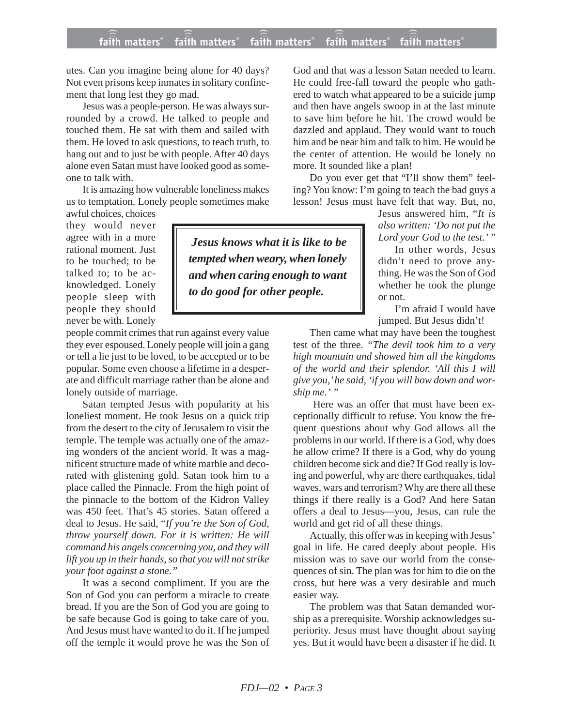utes. Can you imagine being alone for 40 days? Not even prisons keep inmates in solitary confinement that long lest they go mad.

Jesus was a people-person. He was always surrounded by a crowd. He talked to people and touched them. He sat with them and sailed with them. He loved to ask questions, to teach truth, to hang out and to just be with people. After 40 days alone even Satan must have looked good as someone to talk with.

It is amazing how vulnerable loneliness makes us to temptation. Lonely people sometimes make

awful choices, choices they would never agree with in a more rational moment. Just to be touched; to be talked to; to be acknowledged. Lonely people sleep with people they should never be with. Lonely

people commit crimes that run against every value they ever espoused. Lonely people will join a gang or tell a lie just to be loved, to be accepted or to be popular. Some even choose a lifetime in a desperate and difficult marriage rather than be alone and lonely outside of marriage.

Satan tempted Jesus with popularity at his loneliest moment. He took Jesus on a quick trip from the desert to the city of Jerusalem to visit the temple. The temple was actually one of the amazing wonders of the ancient world. It was a magnificent structure made of white marble and decorated with glistening gold. Satan took him to a place called the Pinnacle. From the high point of the pinnacle to the bottom of the Kidron Valley was 450 feet. That's 45 stories. Satan offered a deal to Jesus. He said, "*If you're the Son of God, throw yourself down. For it is written: He will command his angels concerning you, and they will lift you up in their hands, so that you will not strike your foot against a stone."*

It was a second compliment. If you are the Son of God you can perform a miracle to create bread. If you are the Son of God you are going to be safe because God is going to take care of you. And Jesus must have wanted to do it. If he jumped off the temple it would prove he was the Son of God and that was a lesson Satan needed to learn. He could free-fall toward the people who gathered to watch what appeared to be a suicide jump and then have angels swoop in at the last minute to save him before he hit. The crowd would be dazzled and applaud. They would want to touch him and be near him and talk to him. He would be the center of attention. He would be lonely no more. It sounded like a plan!

Do you ever get that "I'll show them" feeling? You know: I'm going to teach the bad guys a lesson! Jesus must have felt that way. But, no,

> Jesus answered him, "*It is also written: 'Do not put the Lord your God to the test.' "*

> In other words, Jesus didn't need to prove anything. He was the Son of God whether he took the plunge or not.

> I'm afraid I would have jumped. But Jesus didn't!

Then came what may have been the toughest test of the three. *"The devil took him to a very high mountain and showed him all the kingdoms of the world and their splendor. 'All this I will give you,' he said, 'if you will bow down and worship me.' "*

Here was an offer that must have been exceptionally difficult to refuse. You know the frequent questions about why God allows all the problems in our world. If there is a God, why does he allow crime? If there is a God, why do young children become sick and die? If God really is loving and powerful, why are there earthquakes, tidal waves, wars and terrorism? Why are there all these things if there really is a God? And here Satan offers a deal to Jesus—you, Jesus, can rule the world and get rid of all these things.

Actually, this offer was in keeping with Jesus' goal in life. He cared deeply about people. His mission was to save our world from the consequences of sin. The plan was for him to die on the cross, but here was a very desirable and much easier way.

The problem was that Satan demanded worship as a prerequisite. Worship acknowledges superiority. Jesus must have thought about saying yes. But it would have been a disaster if he did. It

*Jesus knows what it is like to be tempted when weary, when lonely and when caring enough to want to do good for other people.*